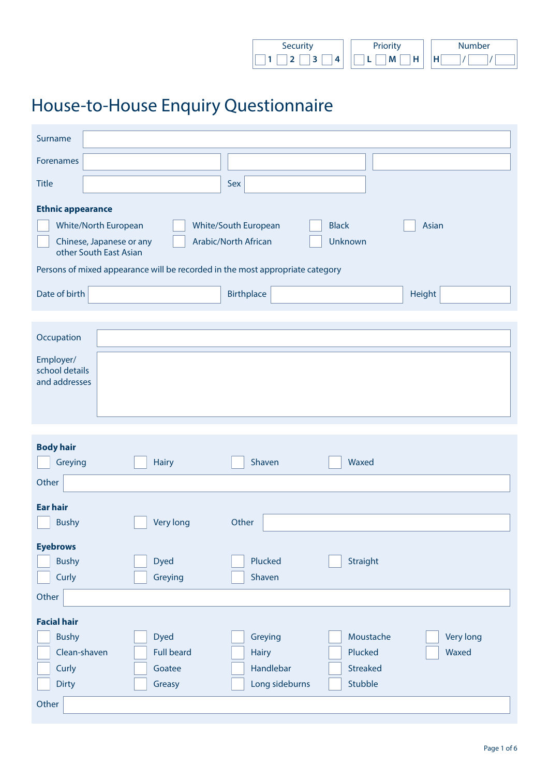

## House-to-House Enquiry Questionnaire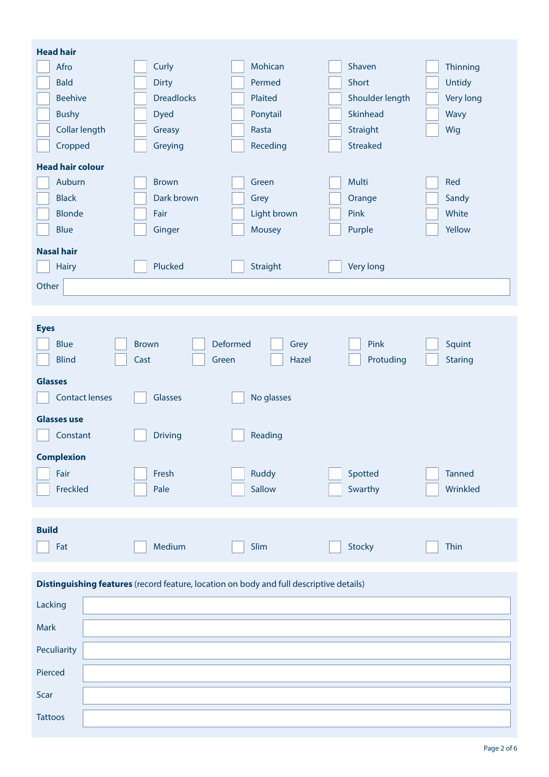| <b>Head hair</b>        |                                                                                         |                  |                 |                |
|-------------------------|-----------------------------------------------------------------------------------------|------------------|-----------------|----------------|
| Afro                    | Curly                                                                                   | Mohican          | Shaven          | Thinning       |
| <b>Bald</b>             | <b>Dirty</b>                                                                            | Permed           | Short           | <b>Untidy</b>  |
| <b>Beehive</b>          | <b>Dreadlocks</b>                                                                       | Plaited          | Shoulder length | Very long      |
| <b>Bushy</b>            | <b>Dyed</b>                                                                             | Ponytail         | Skinhead        | Wavy           |
| Collar length           | Greasy                                                                                  | Rasta            | Straight        | Wig            |
| Cropped                 | Greying                                                                                 | Receding         | <b>Streaked</b> |                |
| <b>Head hair colour</b> |                                                                                         |                  |                 |                |
| Auburn                  | <b>Brown</b>                                                                            | Green            | Multi           | Red            |
| <b>Black</b>            | Dark brown                                                                              | Grey             | Orange          | Sandy          |
| <b>Blonde</b>           | Fair                                                                                    | Light brown      | Pink            | White          |
| <b>Blue</b>             | Ginger                                                                                  | Mousey           | Purple          | Yellow         |
| <b>Nasal hair</b>       |                                                                                         |                  |                 |                |
| <b>Hairy</b>            | Plucked                                                                                 | Straight         | Very long       |                |
| Other                   |                                                                                         |                  |                 |                |
|                         |                                                                                         |                  |                 |                |
|                         |                                                                                         |                  |                 |                |
| <b>Eyes</b>             |                                                                                         |                  |                 |                |
| <b>Blue</b>             | <b>Brown</b>                                                                            | Deformed<br>Grey | Pink            | Squint         |
| <b>Blind</b>            | Green<br>Cast                                                                           | Hazel            | Protuding       | <b>Staring</b> |
| <b>Glasses</b>          |                                                                                         |                  |                 |                |
| <b>Contact lenses</b>   | <b>Glasses</b>                                                                          | No glasses       |                 |                |
| <b>Glasses use</b>      |                                                                                         |                  |                 |                |
| Constant                | <b>Driving</b>                                                                          | Reading          |                 |                |
|                         |                                                                                         |                  |                 |                |
| <b>Complexion</b>       |                                                                                         |                  |                 |                |
| Fair                    | Fresh                                                                                   | Ruddy            | Spotted         | <b>Tanned</b>  |
| Freckled                | Pale                                                                                    | Sallow           | Swarthy         | Wrinkled       |
|                         |                                                                                         |                  |                 |                |
| <b>Build</b>            |                                                                                         |                  |                 |                |
| Fat                     | Medium                                                                                  | Slim             | <b>Stocky</b>   | Thin           |
|                         |                                                                                         |                  |                 |                |
|                         | Distinguishing features (record feature, location on body and full descriptive details) |                  |                 |                |
| Lacking                 |                                                                                         |                  |                 |                |
|                         |                                                                                         |                  |                 |                |
| <b>Mark</b>             |                                                                                         |                  |                 |                |
| Peculiarity             |                                                                                         |                  |                 |                |
| Pierced                 |                                                                                         |                  |                 |                |
| Scar                    |                                                                                         |                  |                 |                |
| <b>Tattoos</b>          |                                                                                         |                  |                 |                |
|                         |                                                                                         |                  |                 |                |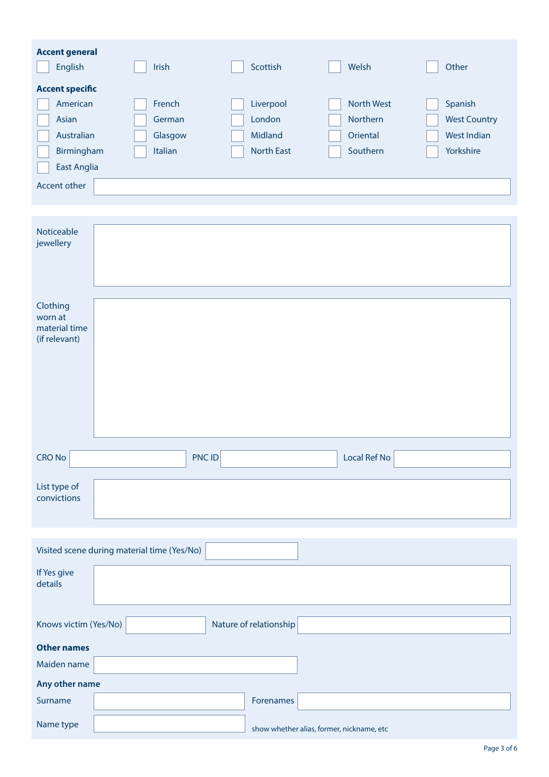| <b>Accent general</b>          |         |                   |                   |                     |
|--------------------------------|---------|-------------------|-------------------|---------------------|
| English                        | Irish   | Scottish          | Welsh             | Other               |
| <b>Accent specific</b>         |         |                   |                   |                     |
| American                       | French  | Liverpool         | <b>North West</b> | Spanish             |
| Asian                          | German  | London            | Northern          | <b>West Country</b> |
| Australian                     | Glasgow | Midland           | Oriental          | <b>West Indian</b>  |
| Birmingham                     | Italian | <b>North East</b> | Southern          | Yorkshire           |
| <b>East Anglia</b>             |         |                   |                   |                     |
| Accent other                   |         |                   |                   |                     |
|                                |         |                   |                   |                     |
|                                |         |                   |                   |                     |
| Noticeable                     |         |                   |                   |                     |
| jewellery                      |         |                   |                   |                     |
|                                |         |                   |                   |                     |
|                                |         |                   |                   |                     |
| Clothing                       |         |                   |                   |                     |
| worn at                        |         |                   |                   |                     |
| material time<br>(if relevant) |         |                   |                   |                     |
|                                |         |                   |                   |                     |
|                                |         |                   |                   |                     |
|                                |         |                   |                   |                     |
|                                |         |                   |                   |                     |
|                                |         |                   |                   |                     |

| CRO No                      | PNC ID | <b>Local Ref No</b> |  |
|-----------------------------|--------|---------------------|--|
| List type of<br>convictions |        |                     |  |

|                        | Visited scene during material time (Yes/No) |                        |                                           |
|------------------------|---------------------------------------------|------------------------|-------------------------------------------|
| If Yes give<br>details |                                             |                        |                                           |
| Knows victim (Yes/No)  |                                             | Nature of relationship |                                           |
| <b>Other names</b>     |                                             |                        |                                           |
| Maiden name            |                                             |                        |                                           |
| Any other name         |                                             |                        |                                           |
| Surname                |                                             | Forenames              |                                           |
| Name type              |                                             |                        | show whether alias, former, nickname, etc |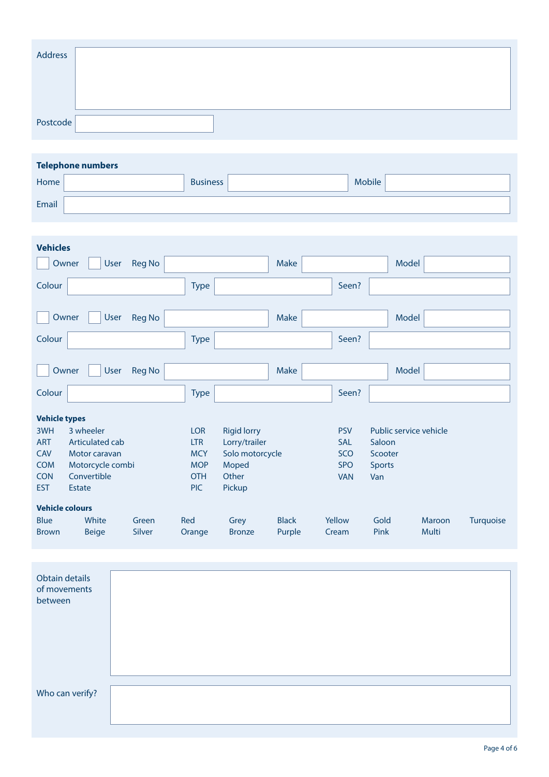| Address  |  |  |
|----------|--|--|
|          |  |  |
|          |  |  |
| Postcode |  |  |

|       | <b>Telephone numbers</b> |                 |        |  |
|-------|--------------------------|-----------------|--------|--|
| Home  |                          | <b>Business</b> | Mobile |  |
| Email |                          |                 |        |  |

| <b>Vehicles</b><br>User<br>Owner                                                                                                                                                                       | <b>Reg No</b>                                                                    | Make                                                                               |                                                                    | Model                                                               |                              |
|--------------------------------------------------------------------------------------------------------------------------------------------------------------------------------------------------------|----------------------------------------------------------------------------------|------------------------------------------------------------------------------------|--------------------------------------------------------------------|---------------------------------------------------------------------|------------------------------|
| Colour                                                                                                                                                                                                 | <b>Type</b>                                                                      |                                                                                    | Seen?                                                              |                                                                     |                              |
| Owner<br><b>User</b>                                                                                                                                                                                   | <b>Reg No</b>                                                                    | Make                                                                               |                                                                    | Model                                                               |                              |
| Colour                                                                                                                                                                                                 | <b>Type</b>                                                                      |                                                                                    | Seen?                                                              |                                                                     |                              |
| Owner<br>User                                                                                                                                                                                          | <b>Reg No</b>                                                                    | Make                                                                               |                                                                    | Model                                                               |                              |
| Colour                                                                                                                                                                                                 | <b>Type</b>                                                                      |                                                                                    | Seen?                                                              |                                                                     |                              |
| <b>Vehicle types</b><br>3WH<br>3 wheeler<br>Articulated cab<br><b>ART</b><br><b>CAV</b><br>Motor caravan<br><b>COM</b><br>Motorcycle combi<br>Convertible<br><b>CON</b><br><b>EST</b><br><b>Estate</b> | <b>LOR</b><br><b>LTR</b><br><b>MCY</b><br><b>MOP</b><br><b>OTH</b><br><b>PIC</b> | <b>Rigid lorry</b><br>Lorry/trailer<br>Solo motorcycle<br>Moped<br>Other<br>Pickup | <b>PSV</b><br><b>SAL</b><br><b>SCO</b><br><b>SPO</b><br><b>VAN</b> | Public service vehicle<br>Saloon<br>Scooter<br><b>Sports</b><br>Van |                              |
| <b>Vehicle colours</b><br><b>Blue</b><br>White<br><b>Brown</b><br><b>Beige</b>                                                                                                                         | Red<br>Green<br>Silver<br>Orange                                                 | <b>Black</b><br>Grey<br><b>Bronze</b><br>Purple                                    | Yellow<br>Cream                                                    | Gold<br>Pink                                                        | Turquoise<br>Maroon<br>Multi |

| Obtain details<br>of movements<br>between |  |
|-------------------------------------------|--|
| Who can verify?                           |  |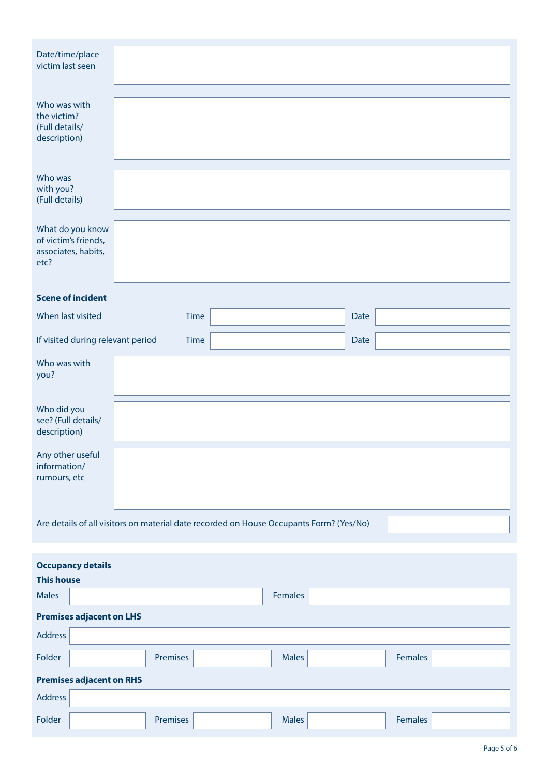| Date/time/place<br>victim last seen                                                     |          |             |              |      |         |
|-----------------------------------------------------------------------------------------|----------|-------------|--------------|------|---------|
| Who was with<br>the victim?<br>(Full details/<br>description)                           |          |             |              |      |         |
| Who was<br>with you?<br>(Full details)                                                  |          |             |              |      |         |
| What do you know<br>of victim's friends,<br>associates, habits,<br>etc?                 |          |             |              |      |         |
| <b>Scene of incident</b>                                                                |          |             |              |      |         |
| When last visited                                                                       |          | Time        |              | Date |         |
| If visited during relevant period                                                       |          | <b>Time</b> |              | Date |         |
| Who was with<br>you?                                                                    |          |             |              |      |         |
| Who did you<br>see? (Full details/<br>description)                                      |          |             |              |      |         |
| Any other useful<br>information/<br>rumours, etc                                        |          |             |              |      |         |
| Are details of all visitors on material date recorded on House Occupants Form? (Yes/No) |          |             |              |      |         |
| <b>Occupancy details</b><br><b>This house</b>                                           |          |             |              |      |         |
| <b>Males</b>                                                                            |          |             | Females      |      |         |
| <b>Premises adjacent on LHS</b>                                                         |          |             |              |      |         |
| Address                                                                                 |          |             |              |      |         |
| Folder                                                                                  | Premises |             | <b>Males</b> |      | Females |
| <b>Premises adjacent on RHS</b>                                                         |          |             |              |      |         |
| Address                                                                                 |          |             |              |      |         |
| Folder                                                                                  | Premises |             | <b>Males</b> |      | Females |